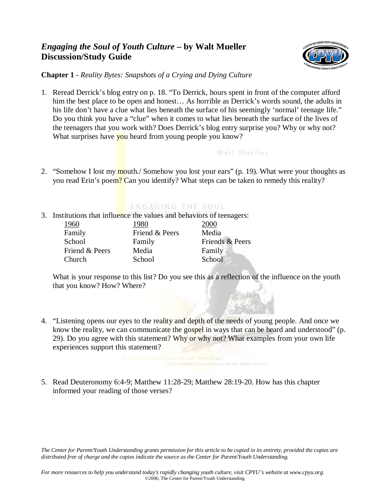

**Chapter 1 -** *Reality Bytes: Snapshots of a Crying and Dying Culture* 

1. Reread Derrick's blog entry on p. 18. "To Derrick, hours spent in front of the computer afford him the best place to be open and honest… As horrible as Derrick's words sound, the adults in his life don't have a clue what lies beneath the surface of his seemingly 'normal' teenage life." Do you think you have a "clue" when it comes to what lies beneath the surface of the lives of the teenagers that you work with? Does Derrick's blog entry surprise you? Why or why not? What surprises have you heard from young people you know?



2. "Somehow I lost my mouth./ Somehow you lost your ears" (p. 19). What were your thoughts as you read Erin's poem? Can you identify? What steps can be taken to remedy this reality?

### ENGAGING THE SOUL

3. Institutions that influence the values and behaviors of teenagers:

| 1960           | 1980           | 2000  |
|----------------|----------------|-------|
| Family         | Friend & Peers | Medi  |
| School         | Family         | Frien |
| Friend & Peers | Media          | Fami  |
| Church         | School         | Scho  |

Friend & Peers Media Media **Family** School School

Family Friends & Peers

What is your response to this list? Do you see this as a reflection of the influence on the youth that you know? How? Where?

- 4. "Listening opens our eyes to the reality and depth of the needs of young people. And once we know the reality, we can communicate the gospel in ways that can be heard and understood" (p. 29). Do you agree with this statement? Why or why not? What examples from your own life experiences support this statement?
- 5. Read Deuteronomy 6:4-9; Matthew 11:28-29; Matthew 28:19-20. How has this chapter informed your reading of those verses?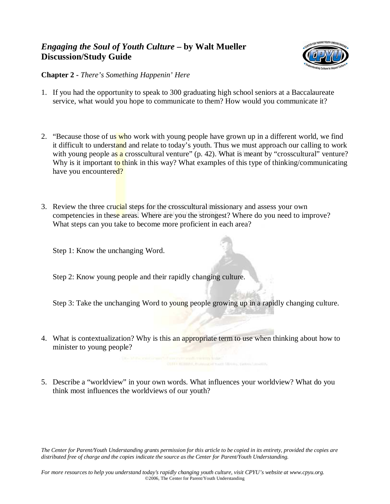

**Chapter 2 -** *There's Something Happenin' Here* 

- 1. If you had the opportunity to speak to 300 graduating high school seniors at a Baccalaureate service, what would you hope to communicate to them? How would you communicate it?
- 2. "Because those of us who work with young people have grown up in a different world, we find it difficult to understand and relate to today's youth. Thus we must approach our calling to work with young people as  $\alpha$  crosscultural venture" (p. 42). What is meant by "crosscultural" venture? Why is it important to think in this way? What examples of this type of thinking/communicating have you encountered?
- 3. Review the three crucial steps for the crosscultural missionary and assess your own competencies in these areas. Where are you the strongest? Where do you need to improve? What steps can you take to become more proficient in each area?

Step 1: Know the unchanging Word.

Step 2: Know young people and their rapidly changing culture.

Step 3: Take the unchanging Word to young people growing up in a rapidly changing culture.

4. What is contextualization? Why is this an appropriate term to use when thinking about how to minister to young people?

Olifa's sittimum, invisional mater lifesting question homesting

5. Describe a "worldview" in your own words. What influences your worldview? What do you think most influences the worldviews of our youth?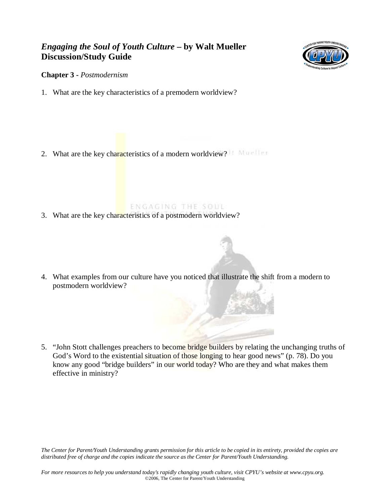

**Chapter 3 -** *Postmodernism*

1. What are the key characteristics of a premodern worldview?

2. What are the key characteristics of a modern worldview? It Muslim

## ENGAGING THE SOUL

3. What are the key characteristics of a postmodern worldview?

4. What examples from our culture have you noticed that illustrate the shift from a modern to postmodern worldview?

5. "John Stott challenges preachers to become bridge builders by relating the unchanging truths of God's Word to the existential situation of those longing to hear good news" (p. 78). Do you know any good "bridge builders" in our world today? Who are they and what makes them effective in ministry?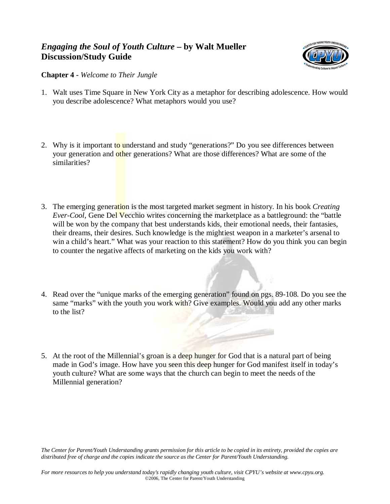

**Chapter 4 -** *Welcome to Their Jungle*

- 1. Walt uses Time Square in New York City as a metaphor for describing adolescence. How would you describe adolescence? What metaphors would you use?
- 2. Why is it important to understand and study "generations?" Do you see differences between your generation and other generations? What are those differences? What are some of the similarities?
- 3. The emerging generation is the most targeted market segment in history. In his book *Creating Ever-Cool*, Gene Del Vecchio writes concerning the marketplace as a battleground: the "battle will be won by the company that best understands kids, their emotional needs, their fantasies, their dreams, their desires. Such knowledge is the mightiest weapon in a marketer's arsenal to win a child's heart." What was your reaction to this statement? How do you think you can begin to counter the negative affects of marketing on the kids you work with?
- 4. Read over the "unique marks of the emerging generation" found on pgs. 89-108. Do you see the same "marks" with the youth you work with? Give examples. Would you add any other marks to the list?
- 5. At the root of the Millennial's groan is a deep hunger for God that is a natural part of being made in God's image. How have you seen this deep hunger for God manifest itself in today's youth culture? What are some ways that the church can begin to meet the needs of the Millennial generation?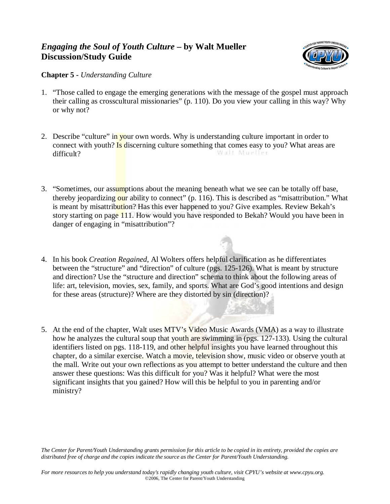

#### **Chapter 5 -** *Understanding Culture*

- 1. "Those called to engage the emerging generations with the message of the gospel must approach their calling as crosscultural missionaries" (p. 110). Do you view your calling in this way? Why or why not?
- 2. Describe "culture" in your own words. Why is understanding culture important in order to connect with youth? Is discerning culture something that comes easy to you? What areas are difficult? Walt Mueller
- 3. "Sometimes, our assumptions about the meaning beneath what we see can be totally off base, thereby jeopardizing our ability to connect" (p. 116). This is described as "misattribution." What is meant by misattribution? Has this ever happened to you? Give examples. Review Bekah's story starting on page 111. How would you have responded to Bekah? Would you have been in danger of engaging in "misattribution"?
- 4. In his book *Creation Regained*, Al Wolters offers helpful clarification as he differentiates between the "structure" and "direction" of culture (pgs. 125-126). What is meant by structure and direction? Use the "structure and direction" schema to think about the following areas of life: art, television, movies, sex, family, and sports. What are God's good intentions and design for these areas (structure)? Where are they distorted by sin (direction)?
- 5. At the end of the chapter, Walt uses MTV's Video Music Awards (VMA) as a way to illustrate how he analyzes the cultural soup that youth are swimming in (pgs. 127-133). Using the cultural identifiers listed on pgs. 118-119, and other helpful insights you have learned throughout this chapter, do a similar exercise. Watch a movie, television show, music video or observe youth at the mall. Write out your own reflections as you attempt to better understand the culture and then answer these questions: Was this difficult for you? Was it helpful? What were the most significant insights that you gained? How will this be helpful to you in parenting and/or ministry?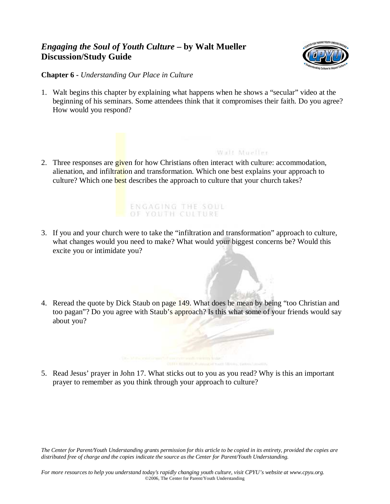

**Chapter 6 -** *Understanding Our Place in Culture*

1. Walt begins this chapter by explaining what happens when he shows a "secular" video at the beginning of his seminars. Some attendees think that it compromises their faith. Do you agree? How would you respond?

Walt Mueller

2. Three responses are given for how Christians often interact with culture: accommodation, alienation, and infiltration and transformation. Which one best explains your approach to culture? Which one best describes the approach to culture that your church takes?

> ENGAGING THE SOUL OF YOUTH CULTURE

- 3. If you and your church were to take the "infiltration and transformation" approach to culture, what changes would you need to make? What would your biggest concerns be? Would this excite you or intimidate you?
- 4. Reread the quote by Dick Staub on page 149. What does he mean by being "too Christian and too pagan"? Do you agree with Staub's approach? Is this what some of your friends would say about you?

5. Read Jesus' prayer in John 17. What sticks out to you as you read? Why is this an important prayer to remember as you think through your approach to culture?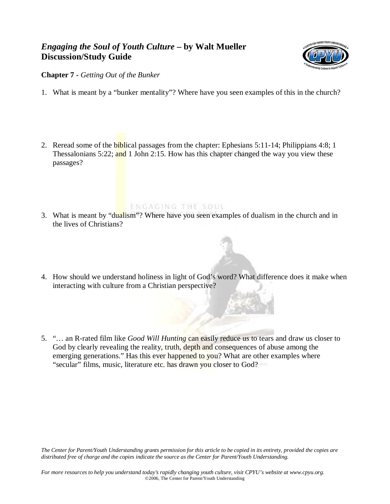

### **Chapter 7 -** *Getting Out of the Bunker*

- 1. What is meant by a "bunker mentality"? Where have you seen examples of this in the church?
- 2. Reread some of the biblical passages from the chapter: Ephesians 5:11-14; Philippians 4:8; 1 Thessalonians 5:22; and 1 John 2:15. How has this chapter changed the way you view these passages?

### ENGAGING THE SOUL

- 3. What is meant by "dualism"? Where have you seen examples of dualism in the church and in the lives of Christians?
- 4. How should we understand holiness in light of God's word? What difference does it make when interacting with culture from a Christian perspective?
- 5. "… an R-rated film like *Good Will Hunting* can easily reduce us to tears and draw us closer to God by clearly revealing the reality, truth, depth and consequences of abuse among the emerging generations." Has this ever happened to you? What are other examples where "secular" films, music, literature etc. has drawn you closer to God?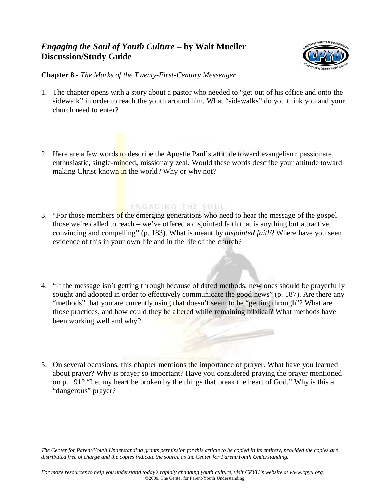

**Chapter 8 -** *The Marks of the Twenty-First-Century Messenger*

- 1. The chapter opens with a story about a pastor who needed to "get out of his office and onto the sidewalk" in order to reach the youth around him. What "sidewalks" do you think you and your church need to enter?
- 2. Here are a few words to describe the Apostle Paul's attitude toward evangelism: passionate, enthusiastic, single-minded, missionary zeal. Would these words describe your attitude toward making Christ known in the world? Why or why not?

### ENGAGING THE SOUL

- 3. "For those members of the emerging generations who need to hear the message of the gospel those we're called to reach – we've offered a disjointed faith that is anything but attractive, convincing and compelling" (p. 183). What is meant by *disjointed faith*? Where have you seen evidence of this in your own life and in the life of the church?
- 4. "If the message isn't getting through because of dated methods, new ones should be prayerfully sought and adopted in order to effectively communicate the good news" (p. 187). Are there any "methods" that you are currently using that doesn't seem to be "getting through"? What are those practices, and how could they be altered while remaining biblical? What methods have been working well and why?
- 5. On several occasions, this chapter mentions the importance of prayer. What have you learned about prayer? Why is prayer so important? Have you considered praying the prayer mentioned on p. 191? "Let my heart be broken by the things that break the heart of God." Why is this a "dangerous" prayer?